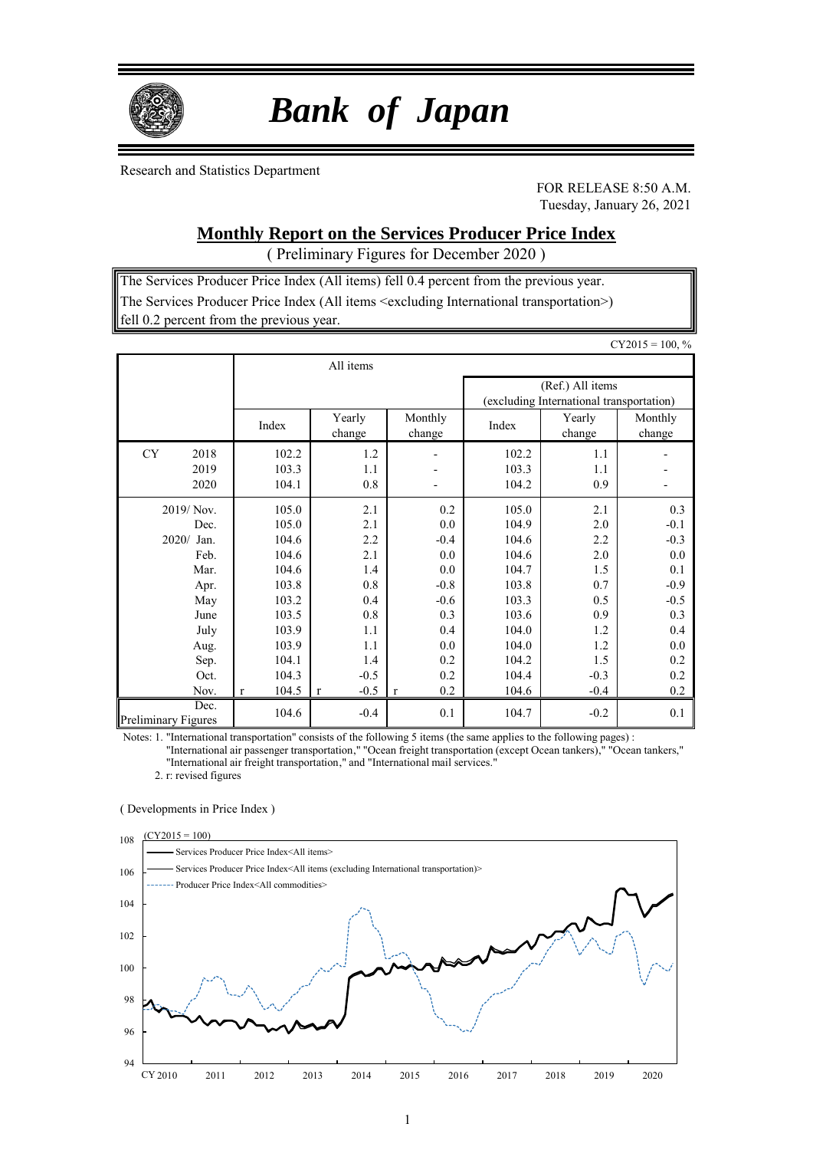

# *Bank of Japan*

Research and Statistics Department

FOR RELEASE 8:50 A.M. Tuesday, January 26, 2021

## **Monthly Report on the Services Producer Price Index**

( Preliminary Figures for December 2020 )

The Services Producer Price Index (All items) fell 0.4 percent from the previous year. The Services Producer Price Index (All items <excluding International transportation>) fell 0.2 percent from the previous year.

|                                                                                                        |                                                                                                          |                                                                                     |                                                                                           |                                                                                                          |                                                                                     | $CY2015 = 100, %$                                                                            |
|--------------------------------------------------------------------------------------------------------|----------------------------------------------------------------------------------------------------------|-------------------------------------------------------------------------------------|-------------------------------------------------------------------------------------------|----------------------------------------------------------------------------------------------------------|-------------------------------------------------------------------------------------|----------------------------------------------------------------------------------------------|
|                                                                                                        |                                                                                                          | All items                                                                           |                                                                                           |                                                                                                          |                                                                                     |                                                                                              |
|                                                                                                        |                                                                                                          |                                                                                     |                                                                                           |                                                                                                          | (Ref.) All items<br>(excluding International transportation)                        |                                                                                              |
|                                                                                                        | Index                                                                                                    | Yearly<br>change                                                                    | Monthly<br>change                                                                         | Index                                                                                                    | Yearly<br>change                                                                    | Monthly<br>change                                                                            |
| <b>CY</b><br>2018<br>2019<br>2020                                                                      | 102.2<br>103.3<br>104.1                                                                                  | 1.2<br>1.1<br>0.8                                                                   | $\overline{a}$                                                                            | 102.2<br>103.3<br>104.2                                                                                  | 1.1<br>1.1<br>0.9                                                                   |                                                                                              |
| 2019/Nov.<br>Dec.<br>2020/ Jan.<br>Feb.<br>Mar.<br>Apr.<br>May<br>June<br>July<br>Aug.<br>Sep.<br>Oct. | 105.0<br>105.0<br>104.6<br>104.6<br>104.6<br>103.8<br>103.2<br>103.5<br>103.9<br>103.9<br>104.1<br>104.3 | 2.1<br>2.1<br>2.2<br>2.1<br>1.4<br>0.8<br>0.4<br>0.8<br>1.1<br>1.1<br>1.4<br>$-0.5$ | 0.2<br>0.0<br>$-0.4$<br>0.0<br>0.0<br>$-0.8$<br>$-0.6$<br>0.3<br>0.4<br>0.0<br>0.2<br>0.2 | 105.0<br>104.9<br>104.6<br>104.6<br>104.7<br>103.8<br>103.3<br>103.6<br>104.0<br>104.0<br>104.2<br>104.4 | 2.1<br>2.0<br>2.2<br>2.0<br>1.5<br>0.7<br>0.5<br>0.9<br>1.2<br>1.2<br>1.5<br>$-0.3$ | 0.3<br>$-0.1$<br>$-0.3$<br>0.0<br>0.1<br>$-0.9$<br>$-0.5$<br>0.3<br>0.4<br>0.0<br>0.2<br>0.2 |
| Nov.<br>Dec.<br><b>Preliminary Figures</b>                                                             | 104.5<br>$\mathbf{r}$<br>104.6                                                                           | $-0.5$<br>$\mathbf{r}$<br>$-0.4$                                                    | 0.2<br>$\bf r$<br>0.1                                                                     | 104.6<br>104.7                                                                                           | $-0.4$<br>$-0.2$                                                                    | 0.2<br>0.1                                                                                   |

Notes: 1. "International transportation" consists of the following 5 items (the same applies to the following pages) :

"International air passenger transportation," "Ocean freight transportation (except Ocean tankers)," "Ocean tankers," "International air freight transportation," and "International mail services."

2. r: revised figures

#### ( Developments in Price Index )

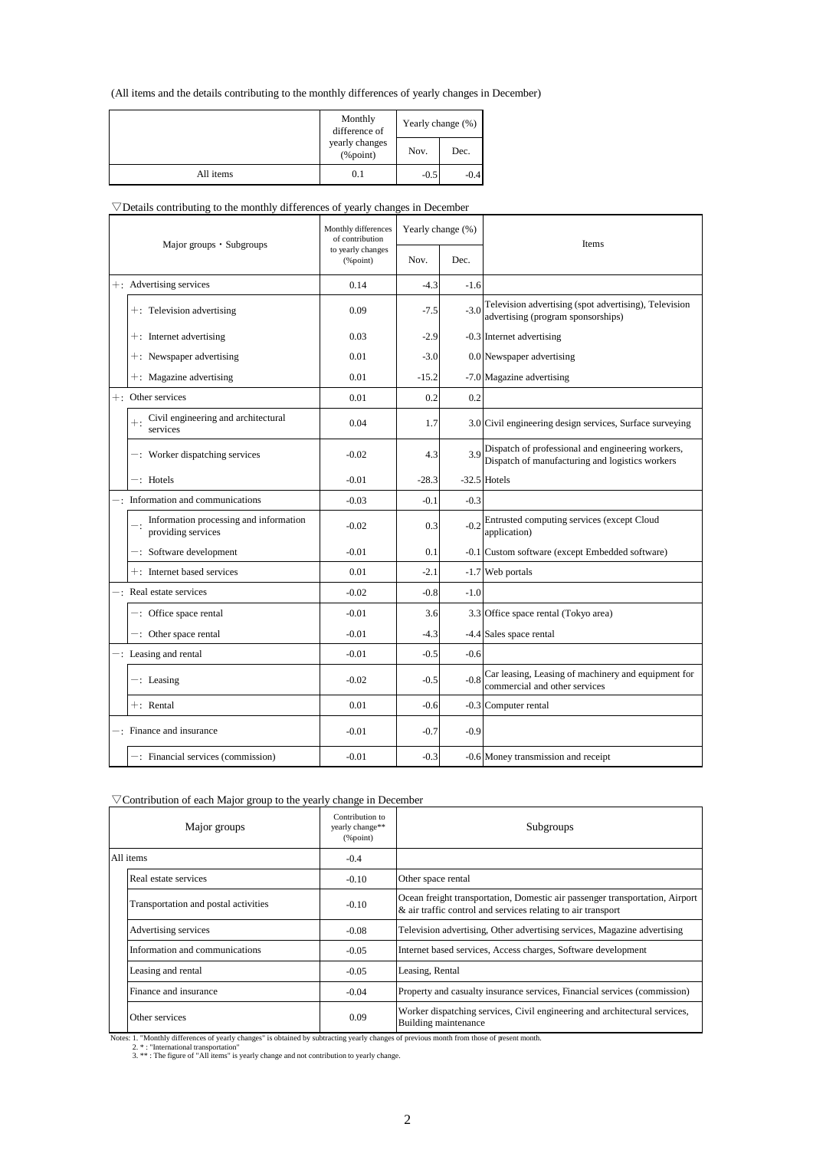### (All items and the details contributing to the monthly differences of yearly changes in December)

|           | Monthly<br>difference of       |        | Yearly change (%) |
|-----------|--------------------------------|--------|-------------------|
|           | yearly changes<br>$(\%$ point) | Nov.   | Dec.              |
| All items | 0.1                            | $-0.5$ | $-0.4$            |

#### $\nabla$ Details contributing to the monthly differences of yearly changes in December

| Major groups · Subgroups |                                                              | Monthly differences<br>of contribution | Yearly change (%) |        | <b>Items</b>                                                                                         |
|--------------------------|--------------------------------------------------------------|----------------------------------------|-------------------|--------|------------------------------------------------------------------------------------------------------|
|                          |                                                              | to yearly changes<br>$(\%$ point)      | Nov.              | Dec.   |                                                                                                      |
|                          | +: Advertising services                                      | 0.14                                   | $-4.3$            | $-1.6$ |                                                                                                      |
|                          | $+$ : Television advertising                                 | 0.09                                   | $-7.5$            | $-3.0$ | Television advertising (spot advertising), Television<br>advertising (program sponsorships)          |
|                          | $+$ : Internet advertising                                   | 0.03                                   | $-2.9$            |        | -0.3 Internet advertising                                                                            |
|                          | $+$ : Newspaper advertising                                  | 0.01                                   | $-3.0$            |        | 0.0 Newspaper advertising                                                                            |
|                          | +: Magazine advertising                                      | 0.01                                   | $-15.2$           |        | -7.0 Magazine advertising                                                                            |
|                          | +: Other services                                            | 0.01                                   | 0.2               | 0.2    |                                                                                                      |
|                          | Civil engineering and architectural<br>services              | 0.04                                   | 1.7               |        | 3.0 Civil engineering design services, Surface surveying                                             |
|                          | -: Worker dispatching services                               | $-0.02$                                | 4.3               | 3.9    | Dispatch of professional and engineering workers,<br>Dispatch of manufacturing and logistics workers |
|                          | $-$ : Hotels                                                 | $-0.01$                                | $-28.3$           |        | $-32.5$ Hotels                                                                                       |
|                          | Information and communications                               | $-0.03$                                | $-0.1$            | $-0.3$ |                                                                                                      |
|                          | Information processing and information<br>providing services | $-0.02$                                | 0.3               | $-0.2$ | Entrusted computing services (except Cloud<br>application)                                           |
|                          | $-$ : Software development                                   | $-0.01$                                | 0.1               |        | -0.1 Custom software (except Embedded software)                                                      |
|                          | +: Internet based services                                   | 0.01                                   | $-2.1$            |        | -1.7 Web portals                                                                                     |
|                          | -: Real estate services                                      | $-0.02$                                | $-0.8$            | $-1.0$ |                                                                                                      |
|                          | $-$ : Office space rental                                    | $-0.01$                                | 3.6               |        | 3.3 Office space rental (Tokyo area)                                                                 |
|                          | $-$ : Other space rental                                     | $-0.01$                                | $-4.3$            |        | -4.4 Sales space rental                                                                              |
|                          | $-$ : Leasing and rental                                     | $-0.01$                                | $-0.5$            | $-0.6$ |                                                                                                      |
|                          | $-$ : Leasing                                                | $-0.02$                                | $-0.5$            | $-0.8$ | Car leasing, Leasing of machinery and equipment for<br>commercial and other services                 |
|                          | $+:$ Rental                                                  | 0.01                                   | $-0.6$            |        | -0.3 Computer rental                                                                                 |
|                          | $-$ : Finance and insurance                                  | $-0.01$                                | $-0.7$            | $-0.9$ |                                                                                                      |
|                          | -: Financial services (commission)                           | $-0.01$                                | $-0.3$            |        | -0.6 Money transmission and receipt                                                                  |

### $\nabla$ Contribution of each Major group to the yearly change in December

| Major groups                         | Contribution to<br>yearly change**<br>$(\%$ point) | Subgroups                                                                                                                                    |
|--------------------------------------|----------------------------------------------------|----------------------------------------------------------------------------------------------------------------------------------------------|
| All items                            | $-0.4$                                             |                                                                                                                                              |
| Real estate services                 | $-0.10$                                            | Other space rental                                                                                                                           |
| Transportation and postal activities | $-0.10$                                            | Ocean freight transportation, Domestic air passenger transportation, Airport<br>& air traffic control and services relating to air transport |
| Advertising services                 | $-0.08$                                            | Television advertising, Other advertising services, Magazine advertising                                                                     |
| Information and communications       | $-0.05$                                            | Internet based services, Access charges, Software development                                                                                |
| Leasing and rental                   | $-0.05$                                            | Leasing, Rental                                                                                                                              |
| Finance and insurance                | $-0.04$                                            | Property and casualty insurance services, Financial services (commission)                                                                    |
| Other services                       | 0.09                                               | Worker dispatching services, Civil engineering and architectural services,<br>Building maintenance                                           |

Notes: 1. "Monthly differences of yearly changes" is obtained by subtracting yearly changes of previous month from those of present month.<br>2. \* : "International transportation"<br>3. \*\* : The figure of "All items" is yearly c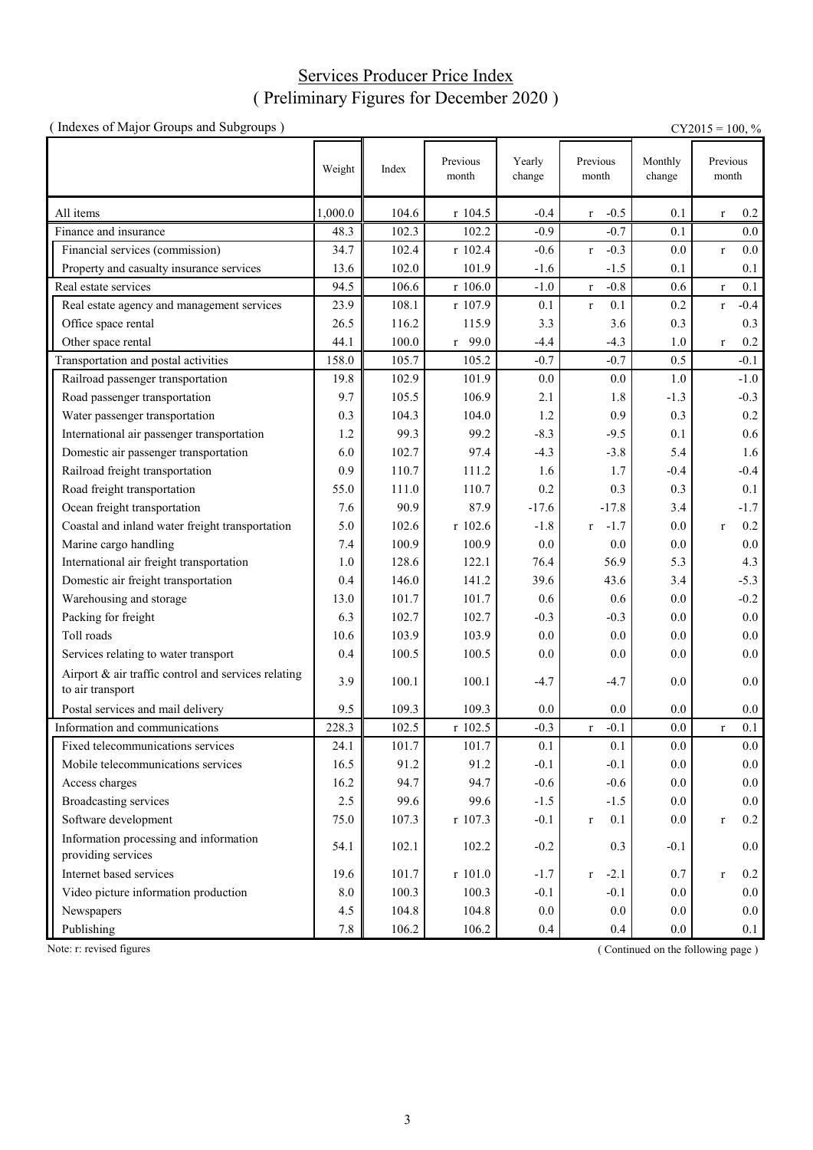### Services Producer Price Index ( Preliminary Figures for December 2020 )

| (Indexes of Major Groups and Subgroups)                                 |         |       |                   |                  |                           |                   | $CY2015 = 100, %$      |
|-------------------------------------------------------------------------|---------|-------|-------------------|------------------|---------------------------|-------------------|------------------------|
|                                                                         | Weight  | Index | Previous<br>month | Yearly<br>change | Previous<br>month         | Monthly<br>change | Previous<br>month      |
| All items                                                               | 1,000.0 | 104.6 | $r$ 104.5         | $-0.4$           | $-0.5$<br>r               | 0.1               | 0.2<br>$\mathbf r$     |
| Finance and insurance                                                   | 48.3    | 102.3 | 102.2             | $-0.9$           | $-0.7$                    | 0.1               | $0.0\,$                |
| Financial services (commission)                                         | 34.7    | 102.4 | r 102.4           | $-0.6$           | $-0.3$<br>$r_{\parallel}$ | 0.0               | 0.0<br>$\mathbf r$     |
| Property and casualty insurance services                                | 13.6    | 102.0 | 101.9             | $-1.6$           | $-1.5$                    | 0.1               | 0.1                    |
| Real estate services                                                    | 94.5    | 106.6 | r 106.0           | $-1.0$           | $-0.8$<br>$\mathbf{r}$    | 0.6               | 0.1<br>$\mathbf{r}$    |
| Real estate agency and management services                              | 23.9    | 108.1 | r 107.9           | 0.1              | 0.1<br>$\mathbf{r}$       | 0.2               | $-0.4$<br>$\mathbf r$  |
| Office space rental                                                     | 26.5    | 116.2 | 115.9             | 3.3              | 3.6                       | 0.3               | 0.3                    |
| Other space rental                                                      | 44.1    | 100.0 | $r$ 99.0          | $-4.4$           | $-4.3$                    | 1.0               | 0.2<br>$\mathbf r$     |
| Transportation and postal activities                                    | 158.0   | 105.7 | 105.2             | $-0.7$           | $-0.7$                    | 0.5               | $-0.1$                 |
| Railroad passenger transportation                                       | 19.8    | 102.9 | 101.9             | 0.0              | 0.0                       | 1.0               | $-1.0$                 |
| Road passenger transportation                                           | 9.7     | 105.5 | 106.9             | 2.1              | 1.8                       | $-1.3$            | $-0.3$                 |
| Water passenger transportation                                          | 0.3     | 104.3 | 104.0             | 1.2              | 0.9                       | 0.3               | 0.2                    |
| International air passenger transportation                              | 1.2     | 99.3  | 99.2              | $-8.3$           | $-9.5$                    | 0.1               | 0.6                    |
| Domestic air passenger transportation                                   | 6.0     | 102.7 | 97.4              | $-4.3$           | $-3.8$                    | 5.4               | 1.6                    |
| Railroad freight transportation                                         | 0.9     | 110.7 | 111.2             | 1.6              | 1.7                       | $-0.4$            | $-0.4$                 |
| Road freight transportation                                             | 55.0    | 111.0 | 110.7             | 0.2              | 0.3                       | 0.3               | 0.1                    |
| Ocean freight transportation                                            | 7.6     | 90.9  | 87.9              | $-17.6$          | $-17.8$                   | 3.4               | $-1.7$                 |
| Coastal and inland water freight transportation                         | 5.0     | 102.6 | r 102.6           | $-1.8$           | $-1.7$<br>r               | 0.0               | 0.2<br>$\mathbf r$     |
| Marine cargo handling                                                   | 7.4     | 100.9 | 100.9             | 0.0              | 0.0                       | 0.0               | $0.0\,$                |
| International air freight transportation                                | 1.0     | 128.6 | 122.1             | 76.4             | 56.9                      | 5.3               | 4.3                    |
| Domestic air freight transportation                                     | 0.4     | 146.0 | 141.2             | 39.6             | 43.6                      | 3.4               | $-5.3$                 |
| Warehousing and storage                                                 | 13.0    | 101.7 | 101.7             | 0.6              | 0.6                       | 0.0               | $-0.2$                 |
| Packing for freight                                                     | 6.3     | 102.7 | 102.7             | $-0.3$           | $-0.3$                    | 0.0               | 0.0                    |
| Toll roads                                                              | 10.6    | 103.9 | 103.9             | 0.0              | 0.0                       | 0.0               | 0.0                    |
| Services relating to water transport                                    | 0.4     | 100.5 | 100.5             | 0.0              | 0.0                       | 0.0               | 0.0                    |
| Airport & air traffic control and services relating<br>to air transport | 3.9     | 100.1 | 100.1             | $-4.7$           | $-4.7$                    | 0.0               | 0.0                    |
| Postal services and mail delivery                                       | 9.5     | 109.3 | 109.3             | 0.0              | 0.0                       | 0.0               | $0.0\,$                |
| Information and communications                                          | 228.3   | 102.5 | r 102.5           | $-0.3$           | $-0.1$<br>r               | 0.0               | 0.1<br>$\mathbf r$     |
| Fixed telecommunications services                                       | 24.1    | 101.7 | 101.7             | 0.1              | 0.1                       | 0.0               | $0.0\,$                |
| Mobile telecommunications services                                      | 16.5    | 91.2  | 91.2              | $-0.1$           | $-0.1$                    | $0.0\,$           | 0.0                    |
| Access charges                                                          | 16.2    | 94.7  | 94.7              | $-0.6$           | $-0.6$                    | 0.0               | 0.0                    |
| <b>Broadcasting services</b>                                            | 2.5     | 99.6  | 99.6              | $-1.5$           | $-1.5$                    | 0.0               | 0.0                    |
| Software development                                                    | 75.0    | 107.3 | r 107.3           | $-0.1$           | 0.1<br>$\mathbf{r}$       | 0.0               | $0.2\,$<br>$\mathbf r$ |
| Information processing and information<br>providing services            | 54.1    | 102.1 | 102.2             | $-0.2$           | 0.3                       | $-0.1$            | 0.0                    |
| Internet based services                                                 | 19.6    | 101.7 | r 101.0           | $-1.7$           | $-2.1$<br>$\bf r$         | 0.7               | 0.2<br>$\mathbf r$     |
| Video picture information production                                    | 8.0     | 100.3 | 100.3             | $-0.1$           | $-0.1$                    | 0.0               | 0.0                    |
| Newspapers                                                              | 4.5     | 104.8 | 104.8             | 0.0              | 0.0                       | 0.0               | 0.0                    |
| Publishing                                                              | 7.8     | 106.2 | 106.2             | 0.4              | 0.4                       | 0.0               | 0.1                    |

Note: r: revised figures (Continued on the following page)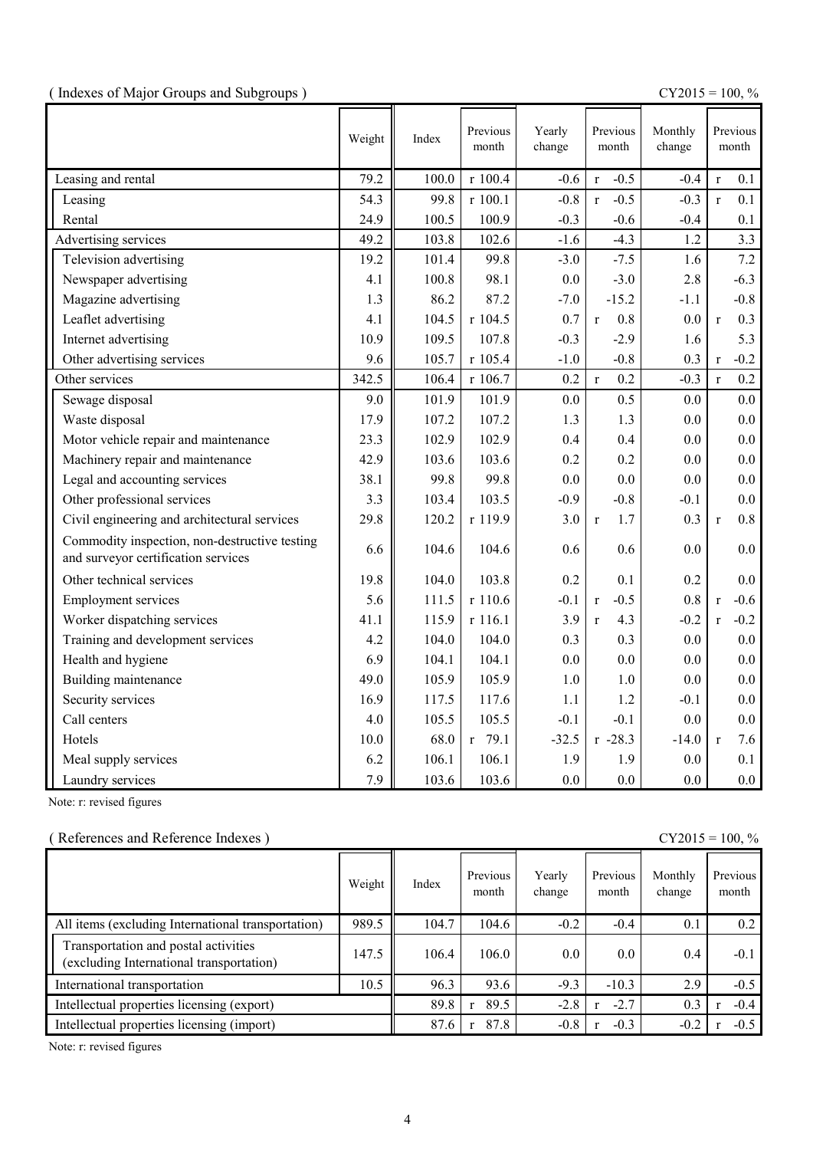|  |  | (Indexes of Major Groups and Subgroups) |  |
|--|--|-----------------------------------------|--|
|  |  |                                         |  |

(  $\text{CY2015} = 100, \%$ 

|                                                                                      | Weight | Index | Previous<br>month | Yearly<br>change | Previous<br>month      | Monthly<br>change |              | Previous<br>month |
|--------------------------------------------------------------------------------------|--------|-------|-------------------|------------------|------------------------|-------------------|--------------|-------------------|
| Leasing and rental                                                                   | 79.2   | 100.0 | r 100.4           | $-0.6$           | $-0.5$<br>$\mathbf{r}$ | $-0.4$            | $\mathbf{r}$ | 0.1               |
| Leasing                                                                              | 54.3   | 99.8  | r 100.1           | $-0.8$           | $-0.5$<br>$\mathbf{r}$ | $-0.3$            | $\mathbf{r}$ | 0.1               |
| Rental                                                                               | 24.9   | 100.5 | 100.9             | $-0.3$           | $-0.6$                 | $-0.4$            |              | 0.1               |
| Advertising services                                                                 | 49.2   | 103.8 | 102.6             | $-1.6$           | $-4.3$                 | 1.2               |              | 3.3               |
| Television advertising                                                               | 19.2   | 101.4 | 99.8              | $-3.0$           | $-7.5$                 | 1.6               |              | 7.2               |
| Newspaper advertising                                                                | 4.1    | 100.8 | 98.1              | 0.0              | $-3.0$                 | 2.8               |              | $-6.3$            |
| Magazine advertising                                                                 | 1.3    | 86.2  | 87.2              | $-7.0$           | $-15.2$                | $-1.1$            |              | $-0.8$            |
| Leaflet advertising                                                                  | 4.1    | 104.5 | r 104.5           | 0.7              | 0.8<br>$\mathbf{r}$    | 0.0               | $\mathbf{r}$ | 0.3               |
| Internet advertising                                                                 | 10.9   | 109.5 | 107.8             | $-0.3$           | $-2.9$                 | 1.6               |              | 5.3               |
| Other advertising services                                                           | 9.6    | 105.7 | r 105.4           | $-1.0$           | $-0.8$                 | 0.3               | $\mathbf{r}$ | $-0.2$            |
| Other services                                                                       | 342.5  | 106.4 | r 106.7           | 0.2              | 0.2<br>$\mathbf{r}$    | $-0.3$            | $\mathbf{r}$ | 0.2               |
| Sewage disposal                                                                      | 9.0    | 101.9 | 101.9             | 0.0              | 0.5                    | 0.0               |              | 0.0               |
| Waste disposal                                                                       | 17.9   | 107.2 | 107.2             | 1.3              | 1.3                    | 0.0               |              | 0.0               |
| Motor vehicle repair and maintenance                                                 | 23.3   | 102.9 | 102.9             | 0.4              | 0.4                    | 0.0               |              | 0.0               |
| Machinery repair and maintenance                                                     | 42.9   | 103.6 | 103.6             | 0.2              | 0.2                    | 0.0               |              | 0.0               |
| Legal and accounting services                                                        | 38.1   | 99.8  | 99.8              | 0.0              | 0.0                    | 0.0               |              | 0.0               |
| Other professional services                                                          | 3.3    | 103.4 | 103.5             | $-0.9$           | $-0.8$                 | $-0.1$            |              | 0.0               |
| Civil engineering and architectural services                                         | 29.8   | 120.2 | r 119.9           | 3.0              | 1.7<br>$\mathbf{r}$    | 0.3               | $\mathbf{r}$ | 0.8               |
| Commodity inspection, non-destructive testing<br>and surveyor certification services | 6.6    | 104.6 | 104.6             | 0.6              | 0.6                    | 0.0               |              | 0.0               |
| Other technical services                                                             | 19.8   | 104.0 | 103.8             | 0.2              | 0.1                    | 0.2               |              | 0.0               |
| <b>Employment services</b>                                                           | 5.6    | 111.5 | r 110.6           | $-0.1$           | $-0.5$<br>$\mathbf{r}$ | 0.8               | $\mathbf{r}$ | $-0.6$            |
| Worker dispatching services                                                          | 41.1   | 115.9 | r 116.1           | 3.9              | 4.3<br>$\mathbf{r}$    | $-0.2$            | $\mathbf{r}$ | $-0.2$            |
| Training and development services                                                    | 4.2    | 104.0 | 104.0             | 0.3              | 0.3                    | 0.0               |              | 0.0               |
| Health and hygiene                                                                   | 6.9    | 104.1 | 104.1             | 0.0              | 0.0                    | 0.0               |              | 0.0               |
| Building maintenance                                                                 | 49.0   | 105.9 | 105.9             | 1.0              | 1.0                    | 0.0               |              | 0.0               |
| Security services                                                                    | 16.9   | 117.5 | 117.6             | 1.1              | 1.2                    | $-0.1$            |              | 0.0               |
| Call centers                                                                         | 4.0    | 105.5 | 105.5             | $-0.1$           | $-0.1$                 | 0.0               |              | 0.0               |
| Hotels                                                                               | 10.0   | 68.0  | r 79.1            | $-32.5$          | $r - 28.3$             | $-14.0$           | $\mathbf{r}$ | 7.6               |
| Meal supply services                                                                 | 6.2    | 106.1 | 106.1             | 1.9              | 1.9                    | 0.0               |              | 0.1               |
| Laundry services                                                                     | 7.9    | 103.6 | 103.6             | 0.0              | 0.0                    | 0.0               |              | 0.0               |

Note: r: revised figures

### ( References and Reference Indexes ) CY2015 = 100, %

|                                                                                  | Weight | Index | Previous<br>month | Yearly<br>change | Previous<br>month | Monthly<br>change | Previous<br>month |
|----------------------------------------------------------------------------------|--------|-------|-------------------|------------------|-------------------|-------------------|-------------------|
| All items (excluding International transportation)                               | 989.5  | 104.7 | 104.6             | $-0.2$           | $-0.4$            | 0.1               | 0.2               |
| Transportation and postal activities<br>(excluding International transportation) | 147.5  | 106.4 | 106.0             | 0.0              | $0.0\,$           | $0.4\,$           | $-0.1$            |
| International transportation                                                     | 10.5   | 96.3  | 93.6              | $-9.3$           | $-10.3$           | 2.9               | $-0.5$            |
| Intellectual properties licensing (export)                                       |        | 89.8  | 89.5              | $-2.8$           | $-2.7$            | 0.3               | $-0.4$            |
| Intellectual properties licensing (import)                                       |        | 87.6  | 87.8              | $-0.8$           | $-0.3$            | $-0.2$            | $-0.5$            |

Note: r: revised figures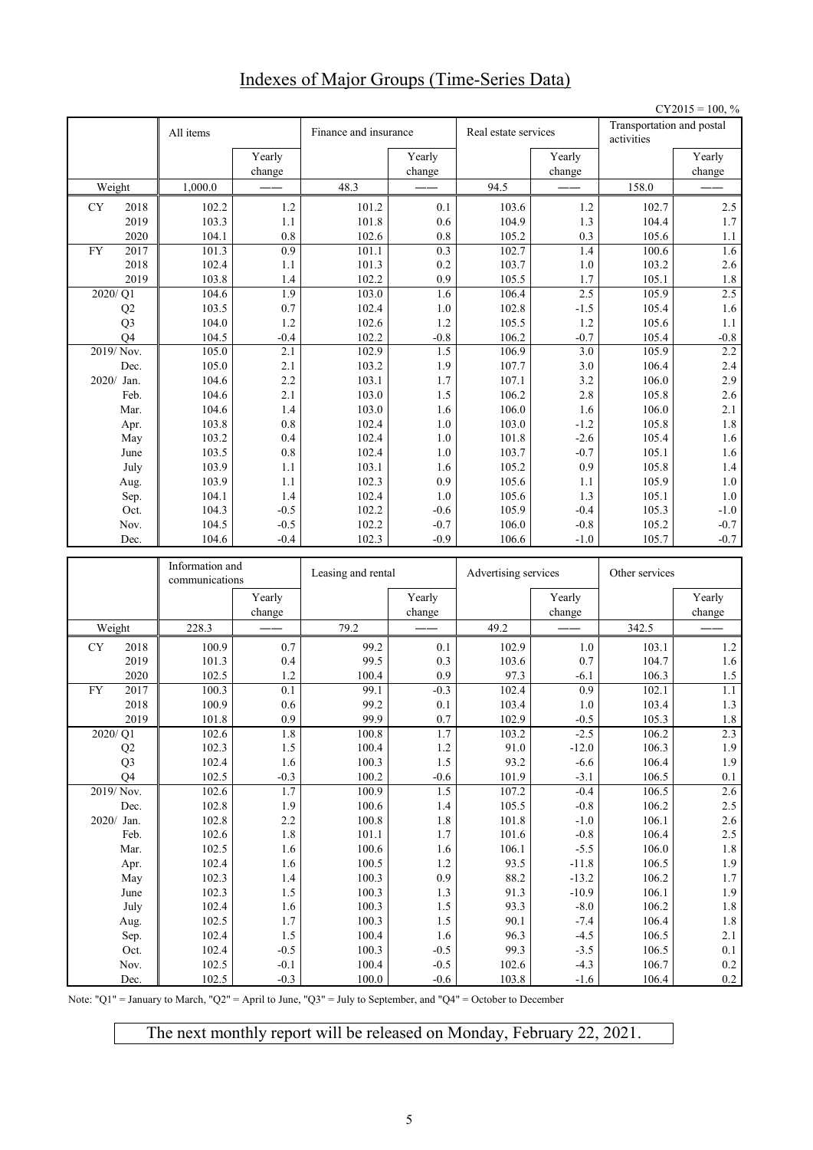# Indexes of Major Groups (Time-Series Data)

|    |                      |                 |                  |                       |                    |                      |                   |                                         | $CY2015 = 100, %$ |
|----|----------------------|-----------------|------------------|-----------------------|--------------------|----------------------|-------------------|-----------------------------------------|-------------------|
|    |                      | All items       |                  | Finance and insurance |                    | Real estate services |                   | Transportation and postal<br>activities |                   |
|    |                      |                 | Yearly<br>change |                       | Yearly<br>change   |                      | Yearly<br>change  |                                         | Yearly<br>change  |
|    | Weight               | 1,000.0         |                  | 48.3                  |                    | 94.5                 |                   | 158.0                                   |                   |
| CY | 2018                 | 102.2           | 1.2              | 101.2                 | 0.1                | 103.6                | 1.2               | 102.7                                   | 2.5               |
|    | 2019                 | 103.3           | 1.1              | 101.8                 | 0.6                | 104.9                | 1.3               | 104.4                                   | 1.7               |
|    | 2020                 | 104.1           | 0.8              | 102.6                 | 0.8                | 105.2                | 0.3               | 105.6                                   | 1.1               |
| FY | 2017                 | 101.3           | $\overline{0.9}$ | 101.1                 | 0.3                | 102.7                | 1.4               | 100.6                                   | 1.6               |
|    | 2018                 | 102.4           | 1.1              | 101.3                 | 0.2                | 103.7                | 1.0               | 103.2                                   | 2.6               |
|    | 2019                 | 103.8           | 1.4              | 102.2                 | 0.9                | 105.5                | 1.7               | 105.1                                   | $1.8\,$           |
|    | 2020/Q1              | 104.6           | 1.9              | 103.0                 | 1.6                | 106.4                | 2.5               | 105.9                                   | 2.5               |
|    | Q2                   | 103.5           | 0.7              | 102.4                 | 1.0                | 102.8                | $-1.5$            | 105.4                                   | 1.6               |
|    | Q <sub>3</sub>       | 104.0           | 1.2              | 102.6                 | 1.2                | 105.5                | 1.2               | 105.6                                   | $1.1\,$           |
|    | O <sub>4</sub>       | 104.5           | $-0.4$           | 102.2                 | $-0.8$             | 106.2                | $-0.7$            | 105.4                                   | $-0.8$            |
|    | 2019/Nov.            | 105.0           | 2.1              | 102.9                 | $\overline{1.5}$   | 106.9                | $\overline{3.0}$  | 105.9                                   | 2.2               |
|    | Dec.                 | 105.0           | 2.1              | 103.2                 | 1.9                | 107.7                | 3.0               | 106.4                                   | 2.4               |
|    | 2020/ Jan.<br>Feb.   | 104.6<br>104.6  | 2.2<br>2.1       | 103.1<br>103.0        | 1.7<br>1.5         | 107.1<br>106.2       | 3.2<br>2.8        | 106.0<br>105.8                          | 2.9<br>2.6        |
|    | Mar.                 | 104.6           | 1.4              | 103.0                 | 1.6                | 106.0                | 1.6               | 106.0                                   | 2.1               |
|    | Apr.                 | 103.8           | 0.8              | 102.4                 | 1.0                | 103.0                | $-1.2$            | 105.8                                   | $1.8\,$           |
|    | May                  | 103.2           | 0.4              | 102.4                 | 1.0                | 101.8                | $-2.6$            | 105.4                                   | 1.6               |
|    | June                 | 103.5           | 0.8              | 102.4                 | 1.0                | 103.7                | $-0.7$            | 105.1                                   | 1.6               |
|    | July                 | 103.9           | 1.1              | 103.1                 | 1.6                | 105.2                | 0.9               | 105.8                                   | 1.4               |
|    | Aug.                 | 103.9           | 1.1              | 102.3                 | 0.9                | 105.6                | 1.1               | 105.9                                   | $1.0\,$           |
|    | Sep.                 | 104.1           | 1.4              | 102.4                 | 1.0                | 105.6                | 1.3               | 105.1                                   | $1.0\,$           |
|    | Oct.                 | 104.3           | $-0.5$           | 102.2                 | $-0.6$             | 105.9                | $-0.4$            | 105.3                                   | $-1.0$            |
|    | Nov.                 | 104.5           | $-0.5$           | 102.2                 | $-0.7$             | 106.0                | $-0.8$            | 105.2                                   | $-0.7$            |
|    | Dec.                 | 104.6           | $-0.4$           | 102.3                 | $-0.9$             | 106.6                | $-1.0$            | 105.7                                   | $-0.7$            |
|    |                      |                 |                  |                       |                    |                      |                   |                                         |                   |
|    |                      | Information and |                  |                       |                    |                      |                   |                                         |                   |
|    |                      | communications  |                  | Leasing and rental    |                    | Advertising services |                   | Other services                          |                   |
|    |                      |                 | Yearly<br>change |                       | Yearly<br>change   |                      | Yearly<br>change  |                                         | Yearly<br>change  |
|    | Weight               | 228.3           |                  | 79.2                  |                    | 49.2                 |                   | 342.5                                   |                   |
| CY | 2018                 | 100.9           | 0.7              | 99.2                  | 0.1                | 102.9                | 1.0               | 103.1                                   | 1.2               |
|    | 2019                 | 101.3           | 0.4              | 99.5                  | 0.3                | 103.6                | 0.7               | 104.7                                   | 1.6               |
|    | 2020                 | 102.5           | 1.2              | 100.4                 | 0.9                | 97.3                 | $-6.1$            | 106.3                                   | 1.5               |
| FY | 2017                 | 100.3           | 0.1              | 99.1                  | $-0.3$             | 102.4                | 0.9               | 102.1                                   | 1.1               |
|    | 2018                 | 100.9           | 0.6              | 99.2                  | 0.1                | 103.4                | 1.0               | 103.4                                   | 1.3               |
|    | 2019                 | 101.8           | 0.9              | 99.9                  | 0.7                | 102.9                | $-0.5$            | 105.3                                   | $1.8\,$           |
|    | 2020/Q1              | 102.6           | $1.8\,$          | 100.8                 | 1.7                | 103.2                | $-2.5$            | 106.2                                   | 2.3               |
|    | Q2<br>Q <sub>3</sub> | 102.3<br>102.4  | $1.5\,$<br>1.6   | 100.4<br>100.3        | $1.2\,$<br>$1.5\,$ | 91.0<br>93.2         | $-12.0$<br>$-6.6$ | 106.3<br>106.4                          | 1.9<br>1.9        |
|    | Q4                   | 102.5           | $-0.3$           | 100.2                 | $-0.6$             | 101.9                | $-3.1$            | 106.5                                   | 0.1               |
|    | 2019/Nov.            | 102.6           | 1.7              | 100.9                 | 1.5                | 107.2                | $-0.4$            | 106.5                                   | 2.6               |
|    | Dec.                 | 102.8           | 1.9              | 100.6                 | $1.4\,$            | 105.5                | $-0.8$            | 106.2                                   | 2.5               |
|    | 2020/ Jan.           | 102.8           | 2.2              | 100.8                 | $1.8\,$            | 101.8                | $\mbox{-}1.0$     | 106.1                                   | 2.6               |
|    | Feb.                 | 102.6           | $1.8\,$          | 101.1                 | $1.7\,$            | $101.6\,$            | $\mbox{-}0.8$     | 106.4                                   | 2.5               |
|    | Mar.                 | 102.5           | 1.6              | 100.6                 | 1.6                | 106.1                | $-5.5$            | 106.0                                   | $1.8\,$           |
|    | Apr.                 | 102.4           | 1.6              | 100.5                 | $1.2\,$            | 93.5                 | $-11.8$           | 106.5                                   | 1.9               |
|    | May                  | 102.3           | 1.4              | 100.3                 | 0.9                | 88.2                 | $-13.2$           | 106.2                                   | 1.7               |
|    | June                 | 102.3           | $1.5$            | 100.3                 | $1.3$              | 91.3                 | $-10.9$           | 106.1                                   | $1.9\,$           |
|    | July                 | 102.4           | 1.6              | 100.3                 | 1.5                | 93.3                 | $-8.0$            | 106.2                                   | $1.8\,$           |
|    | Aug.                 | 102.5           | 1.7              | 100.3                 | 1.5                | 90.1                 | $-7.4$            | 106.4                                   | $1.8\,$           |
|    | Sep.                 | 102.4           | $1.5$            | 100.4                 | $1.6\,$            | 96.3<br>99.3         | $-4.5$            | 106.5                                   | 2.1               |
|    | Oct.<br>Nov.         | 102.4<br>102.5  | $-0.5$<br>$-0.1$ | 100.3<br>100.4        | $-0.5$<br>$-0.5$   | 102.6                | $-3.5$<br>$-4.3$  | 106.5<br>106.7                          | 0.1<br>$0.2\,$    |

Note: "Q1" = January to March, "Q2" = April to June, "Q3" = July to September, and "Q4" = October to December

The next monthly report will be released on Monday, February 22, 2021.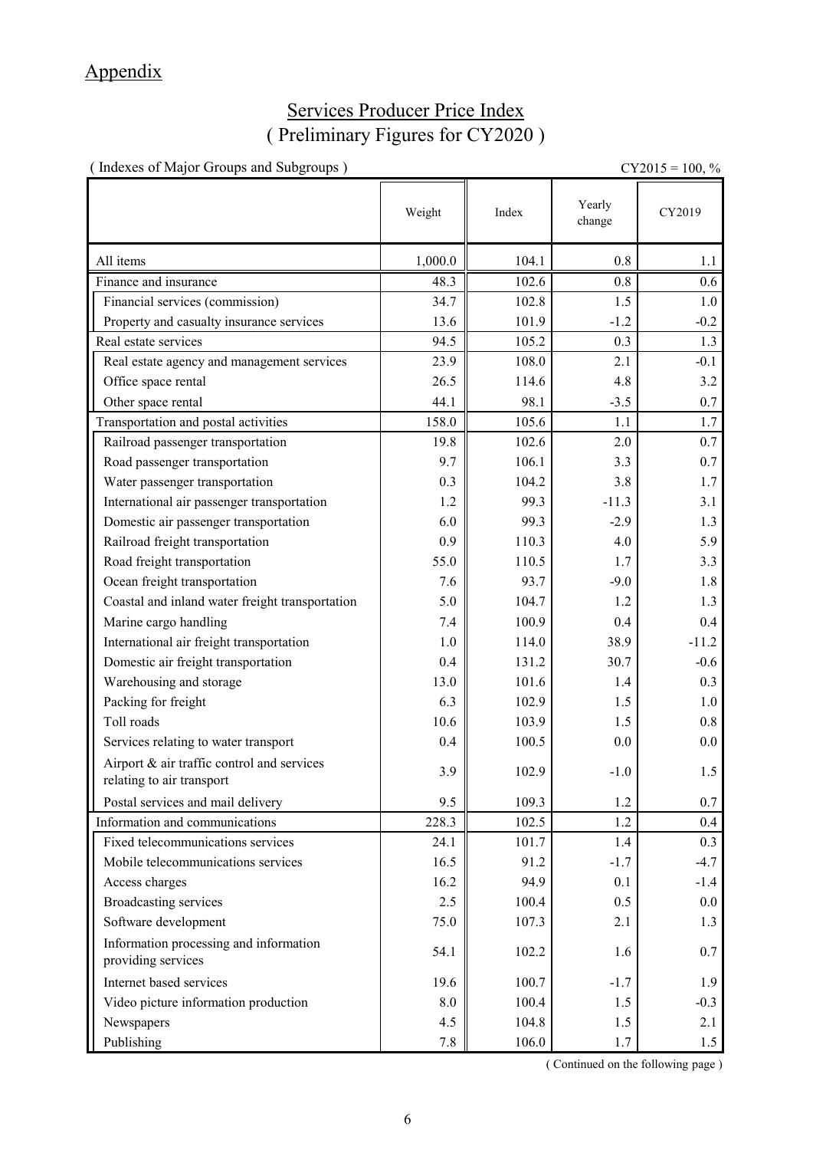# Appendix

# Services Producer Price Index ( Preliminary Figures for CY2020 )

| (Indexes of Major Groups and Subgroups)<br>$CY2015 = 100, \%$           |            |       |                  |         |  |
|-------------------------------------------------------------------------|------------|-------|------------------|---------|--|
|                                                                         | Weight     | Index | Yearly<br>change | CY2019  |  |
| All items                                                               | 1,000.0    | 104.1 | 0.8              | 1.1     |  |
| Finance and insurance                                                   | 48.3       | 102.6 | 0.8              | 0.6     |  |
| Financial services (commission)                                         | 34.7       | 102.8 | 1.5              | 1.0     |  |
| Property and casualty insurance services                                | 13.6       | 101.9 | $-1.2$           | $-0.2$  |  |
| Real estate services                                                    | 94.5       | 105.2 | 0.3              | 1.3     |  |
| Real estate agency and management services                              | 23.9       | 108.0 | 2.1              | $-0.1$  |  |
| Office space rental                                                     | 26.5       | 114.6 | 4.8              | 3.2     |  |
| Other space rental                                                      | 44.1       | 98.1  | $-3.5$           | 0.7     |  |
| Transportation and postal activities                                    | 158.0      | 105.6 | 1.1              | 1.7     |  |
| Railroad passenger transportation                                       | 19.8       | 102.6 | 2.0              | 0.7     |  |
| Road passenger transportation                                           | 9.7        | 106.1 | 3.3              | 0.7     |  |
| Water passenger transportation                                          | 0.3        | 104.2 | 3.8              | 1.7     |  |
| International air passenger transportation                              | 1.2        | 99.3  | $-11.3$          | 3.1     |  |
| Domestic air passenger transportation                                   | 6.0        | 99.3  | $-2.9$           | 1.3     |  |
| Railroad freight transportation                                         | 0.9        | 110.3 | 4.0              | 5.9     |  |
| Road freight transportation                                             | 55.0       | 110.5 | 1.7              | 3.3     |  |
| Ocean freight transportation                                            | 7.6        | 93.7  | $-9.0$           | 1.8     |  |
| Coastal and inland water freight transportation                         | 5.0        | 104.7 | 1.2              | 1.3     |  |
| Marine cargo handling                                                   | 7.4        | 100.9 | 0.4              | 0.4     |  |
| International air freight transportation                                | 1.0        | 114.0 | 38.9             | $-11.2$ |  |
| Domestic air freight transportation                                     | 0.4        | 131.2 | 30.7             | $-0.6$  |  |
| Warehousing and storage                                                 | 13.0       | 101.6 | 1.4              | 0.3     |  |
| Packing for freight                                                     | 6.3        | 102.9 | 1.5              | 1.0     |  |
| Toll roads                                                              | 10.6       | 103.9 | 1.5              | 0.8     |  |
| Services relating to water transport                                    | 0.4        | 100.5 | 0.0              | $0.0\,$ |  |
| Airport & air traffic control and services<br>relating to air transport | 3.9        | 102.9 | $-1.0$           | 1.5     |  |
| Postal services and mail delivery                                       | 9.5        | 109.3 | 1.2              | 0.7     |  |
| Information and communications                                          | 228.3      | 102.5 | 1.2              | 0.4     |  |
| Fixed telecommunications services                                       | 24.1       | 101.7 | 1.4              | 0.3     |  |
| Mobile telecommunications services                                      | 16.5       | 91.2  | $-1.7$           | $-4.7$  |  |
| Access charges                                                          | 16.2       | 94.9  | 0.1              | $-1.4$  |  |
| <b>Broadcasting services</b>                                            | 2.5        | 100.4 | 0.5              | 0.0     |  |
| Software development                                                    | 75.0       | 107.3 | 2.1              | 1.3     |  |
| Information processing and information<br>providing services            | 54.1       | 102.2 | 1.6              | 0.7     |  |
| Internet based services                                                 | 19.6       | 100.7 | $-1.7$           | 1.9     |  |
| Video picture information production                                    | $\ \, 8.0$ | 100.4 | 1.5              | $-0.3$  |  |
| Newspapers                                                              | 4.5        | 104.8 | 1.5              | 2.1     |  |
| Publishing                                                              | $7.8\,$    | 106.0 | 1.7              | 1.5     |  |

( Continued on the following page )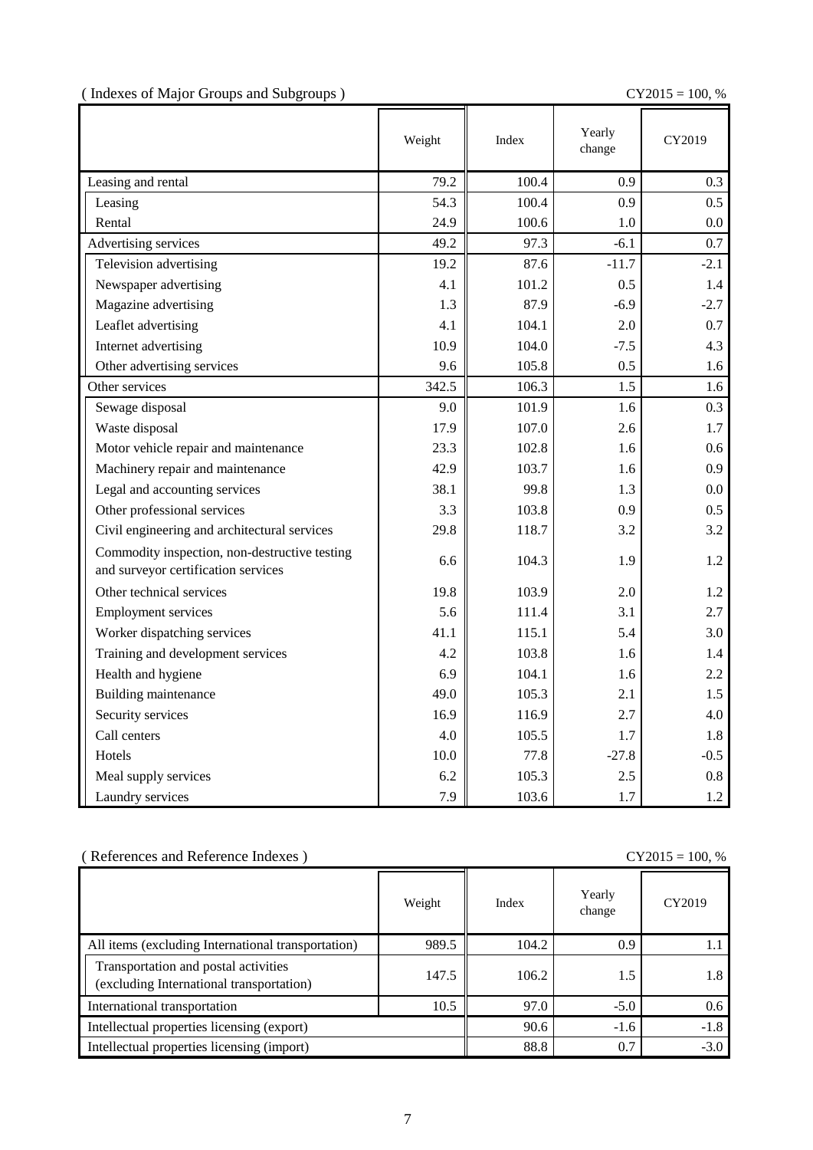( Indexes of Major Groups and Subgroups ) CY2015 = 100, %

|                                                                                      | Weight | Index | Yearly<br>change | CY2019  |
|--------------------------------------------------------------------------------------|--------|-------|------------------|---------|
| Leasing and rental                                                                   | 79.2   | 100.4 | 0.9              | 0.3     |
| Leasing                                                                              | 54.3   | 100.4 | 0.9              | 0.5     |
| Rental                                                                               | 24.9   | 100.6 | 1.0              | $0.0\,$ |
| Advertising services                                                                 | 49.2   | 97.3  | $-6.1$           | 0.7     |
| Television advertising                                                               | 19.2   | 87.6  | $-11.7$          | $-2.1$  |
| Newspaper advertising                                                                | 4.1    | 101.2 | 0.5              | 1.4     |
| Magazine advertising                                                                 | 1.3    | 87.9  | $-6.9$           | $-2.7$  |
| Leaflet advertising                                                                  | 4.1    | 104.1 | 2.0              | 0.7     |
| Internet advertising                                                                 | 10.9   | 104.0 | $-7.5$           | 4.3     |
| Other advertising services                                                           | 9.6    | 105.8 | 0.5              | 1.6     |
| Other services                                                                       | 342.5  | 106.3 | 1.5              | 1.6     |
| Sewage disposal                                                                      | 9.0    | 101.9 | 1.6              | 0.3     |
| Waste disposal                                                                       | 17.9   | 107.0 | 2.6              | 1.7     |
| Motor vehicle repair and maintenance                                                 | 23.3   | 102.8 | 1.6              | 0.6     |
| Machinery repair and maintenance                                                     | 42.9   | 103.7 | 1.6              | 0.9     |
| Legal and accounting services                                                        | 38.1   | 99.8  | 1.3              | 0.0     |
| Other professional services                                                          | 3.3    | 103.8 | 0.9              | 0.5     |
| Civil engineering and architectural services                                         | 29.8   | 118.7 | 3.2              | 3.2     |
| Commodity inspection, non-destructive testing<br>and surveyor certification services | 6.6    | 104.3 | 1.9              | 1.2     |
| Other technical services                                                             | 19.8   | 103.9 | 2.0              | 1.2     |
| <b>Employment services</b>                                                           | 5.6    | 111.4 | 3.1              | 2.7     |
| Worker dispatching services                                                          | 41.1   | 115.1 | 5.4              | 3.0     |
| Training and development services                                                    | 4.2    | 103.8 | 1.6              | 1.4     |
| Health and hygiene                                                                   | 6.9    | 104.1 | 1.6              | 2.2     |
| Building maintenance                                                                 | 49.0   | 105.3 | 2.1              | 1.5     |
| Security services                                                                    | 16.9   | 116.9 | 2.7              | 4.0     |
| Call centers                                                                         | 4.0    | 105.5 | 1.7              | 1.8     |
| Hotels                                                                               | 10.0   | 77.8  | $-27.8$          | $-0.5$  |
| Meal supply services                                                                 | 6.2    | 105.3 | 2.5              | 0.8     |
| Laundry services                                                                     | 7.9    | 103.6 | 1.7              | 1.2     |

### ( References and Reference Indexes )  $CY2015 = 100$  %

| References and Reference muexes<br>$CI ZUIJ \equiv IUU, \%$                      |        |       |                  |        |  |
|----------------------------------------------------------------------------------|--------|-------|------------------|--------|--|
|                                                                                  | Weight | Index | Yearly<br>change | CY2019 |  |
| All items (excluding International transportation)                               | 989.5  | 104.2 | 0.9              |        |  |
| Transportation and postal activities<br>(excluding International transportation) | 147.5  | 106.2 | 1.5              | 1.8    |  |
| International transportation                                                     | 10.5   | 97.0  | $-5.0$           | 0.6    |  |
| Intellectual properties licensing (export)                                       |        | 90.6  | $-1.6$           | $-1.8$ |  |
| Intellectual properties licensing (import)                                       |        | 88.8  | 0.7              | $-3.0$ |  |